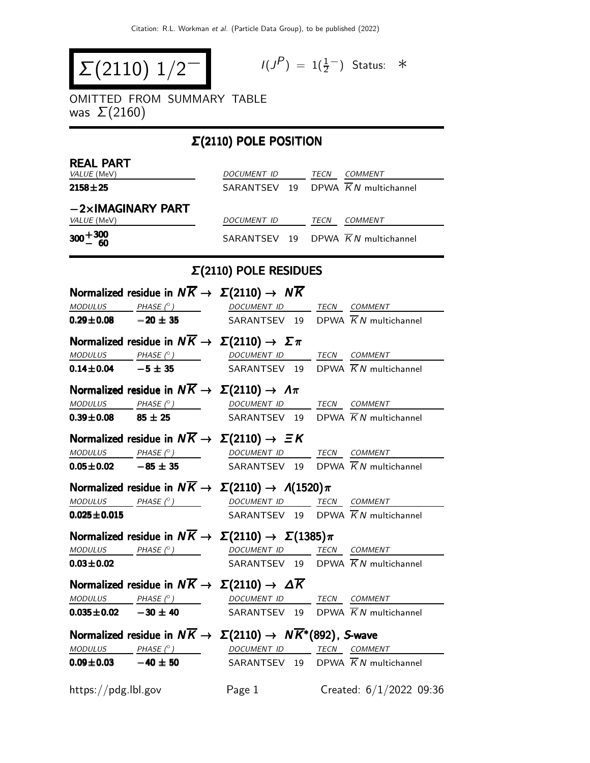$$
\Sigma(2110) 1/2^-
$$

$$
I(J^P) = 1(\frac{1}{2}^-) \quad \text{Status:} \quad *
$$

OMITTED FROM SUMMARY TABLE was  $\Sigma(2160)$ 

### Σ(2110) POLE POSITION **REAL PART**<br>VALUE (MeV) DOCUMENT ID TECN COMMENT **2158** $\pm$ **25** SARANTSEV 19 DPWA  $\overline{K}N$  multichannel −2×IMAGINARY PART DOCUMENT ID TECN COMMENT  $300+300$ <br> $-60$ SARANTSEV 19 DPWA  $\overline{K}N$  multichannel

#### Σ(2110) POLE RESIDUES

|                     | Normalized residue in $N\overline{K} \rightarrow \Sigma(2110) \rightarrow N\overline{K}$                                                                                                                                                                                                                                                                                                                                                                                 |                                                |  |                                                |
|---------------------|--------------------------------------------------------------------------------------------------------------------------------------------------------------------------------------------------------------------------------------------------------------------------------------------------------------------------------------------------------------------------------------------------------------------------------------------------------------------------|------------------------------------------------|--|------------------------------------------------|
|                     | $\textit{MODULUS}$ PHASE (° ) DOCUMENT ID TECN COMMENT                                                                                                                                                                                                                                                                                                                                                                                                                   |                                                |  |                                                |
|                     | <b>0.29±0.08</b> $-20 \pm 35$ SARANTSEV 19 DPWA $\overline{K}N$ multichannel                                                                                                                                                                                                                                                                                                                                                                                             |                                                |  |                                                |
|                     | Normalized residue in $N\overline{K} \to \Sigma(2110) \to \Sigma \pi$                                                                                                                                                                                                                                                                                                                                                                                                    |                                                |  |                                                |
|                     | $\begin{array}{ccccccccc}\textit{MODULUS} & \textit{PHASE}& @ & \textit{DCUMENT} & \textit{ID} & \textit{TECN} & \textit{COMMENT} & \textit{OMMENT} & \textit{OMMENT} & \textit{OMMENT} & \textit{OMMENT} & \textit{OMMENT} & \textit{OMMENT} & \textit{OMMENT} & \textit{OMMENT} & \textit{OMMENT} & \textit{OMMENT} & \textit{OMMENT} & \textit{OMMENT} & \textit{OMMENT} & \textit{OMMENT} & \textit{OMMENT} & \textit{OMMENT} & \textit{OMMENT} & \textit{OMMENT} &$ |                                                |  |                                                |
|                     | <b>0.14±0.04</b> -5 ± 35 SARANTSEV 19 DPWA $\overline{K}N$ multichannel                                                                                                                                                                                                                                                                                                                                                                                                  |                                                |  |                                                |
|                     | Normalized residue in $N\overline{K} \rightarrow \Sigma(2110) \rightarrow \Lambda \pi$                                                                                                                                                                                                                                                                                                                                                                                   |                                                |  |                                                |
|                     | $\underline{\textit{MODULUS}} \qquad \underline{\textit{PHASE (}^{\circ}) \qquad \qquad \underline{\textit{DOCUMENT ID}} \qquad \underline{\textit{TECN}} \quad \underline{\textit{COMMENT}}$                                                                                                                                                                                                                                                                            |                                                |  |                                                |
|                     | <b>0.39±0.08</b> 85 ± 25 SARANTSEV 19 DPWA $\overline{K}N$ multichannel                                                                                                                                                                                                                                                                                                                                                                                                  |                                                |  |                                                |
|                     | Normalized residue in $N\overline{K} \rightarrow \Sigma(2110) \rightarrow \Xi K$                                                                                                                                                                                                                                                                                                                                                                                         |                                                |  |                                                |
|                     | $\underline{\textit{MODULUS}} \qquad \underline{\textit{PHASE (^{\circ})}} \qquad \qquad \underline{\textit{DOCUMENT ID}} \qquad \underline{\textit{TECN}} \quad \underline{\textit{COMMENT}}$                                                                                                                                                                                                                                                                           |                                                |  |                                                |
|                     | <b>0.05±0.02</b> -85 ± 35 SARANTSEV 19 DPWA $\overline{K}N$ multichannel                                                                                                                                                                                                                                                                                                                                                                                                 |                                                |  |                                                |
|                     | Normalized residue in $N\overline{K} \to \Sigma(2110) \to \Lambda(1520)\pi$                                                                                                                                                                                                                                                                                                                                                                                              |                                                |  |                                                |
|                     | $\textit{MODULUS}$ $\textit{PHASE}$ ( $\circ$ ) $\qquad$ $\qquad$ $\qquad$ $\qquad$ $\qquad$ $\qquad$ $\qquad$ $\qquad$ $\qquad$ $\qquad$ $\qquad$ $\qquad$ $\qquad$ $\qquad$ $\qquad$ $\qquad$ $\qquad$ $\qquad$ $\qquad$ $\qquad$ $\qquad$ $\qquad$ $\qquad$ $\qquad$ $\qquad$ $\qquad$ $\qquad$ $\qquad$ $\qquad$ $\qquad$ $\qquad$ $\qquad$                                                                                                                          |                                                |  |                                                |
| $0.025 \pm 0.015$   |                                                                                                                                                                                                                                                                                                                                                                                                                                                                          | SARANTSEV 19 DPWA $\overline{K}N$ multichannel |  |                                                |
|                     | Normalized residue in $N\overline{K} \to \Sigma(2110) \to \Sigma(1385)\pi$                                                                                                                                                                                                                                                                                                                                                                                               |                                                |  |                                                |
|                     | MODULUS PHASE (°) DOCUMENT ID TECN COMMENT                                                                                                                                                                                                                                                                                                                                                                                                                               |                                                |  |                                                |
| $0.03 + 0.02$       |                                                                                                                                                                                                                                                                                                                                                                                                                                                                          |                                                |  | SARANTSEV 19 DPWA $\overline{K}N$ multichannel |
|                     | Normalized residue in $N\overline{K} \rightarrow \Sigma(2110) \rightarrow \Delta \overline{K}$                                                                                                                                                                                                                                                                                                                                                                           |                                                |  |                                                |
|                     | $MODULUS$ PHASE $(^{\circ})$ DOCUMENT ID TECN COMMENT                                                                                                                                                                                                                                                                                                                                                                                                                    |                                                |  |                                                |
|                     | <b>0.035 ± 0.02</b> - 30 ± 40 SARANTSEV 19 DPWA $\overline{K}N$ multichannel                                                                                                                                                                                                                                                                                                                                                                                             |                                                |  |                                                |
|                     | Normalized residue in $N\overline{K} \to \Sigma(2110) \to N\overline{K}^*(892)$ , S-wave                                                                                                                                                                                                                                                                                                                                                                                 |                                                |  |                                                |
|                     | $\textit{MODULUS} \qquad \qquad \textit{PHASE} \text{ }(^{\circ}) \qquad \qquad \textit{DOCUMENT ID} \qquad \qquad \textit{TECN} \quad \textit{COMMENT}$                                                                                                                                                                                                                                                                                                                 |                                                |  |                                                |
|                     | <b>0.09±0.03</b> $-40 \pm 50$ SARANTSEV 19 DPWA $\overline{K}N$ multichannel                                                                                                                                                                                                                                                                                                                                                                                             |                                                |  |                                                |
| https://pdg.lbl.gov |                                                                                                                                                                                                                                                                                                                                                                                                                                                                          | Page 1                                         |  | Created: 6/1/2022 09:36                        |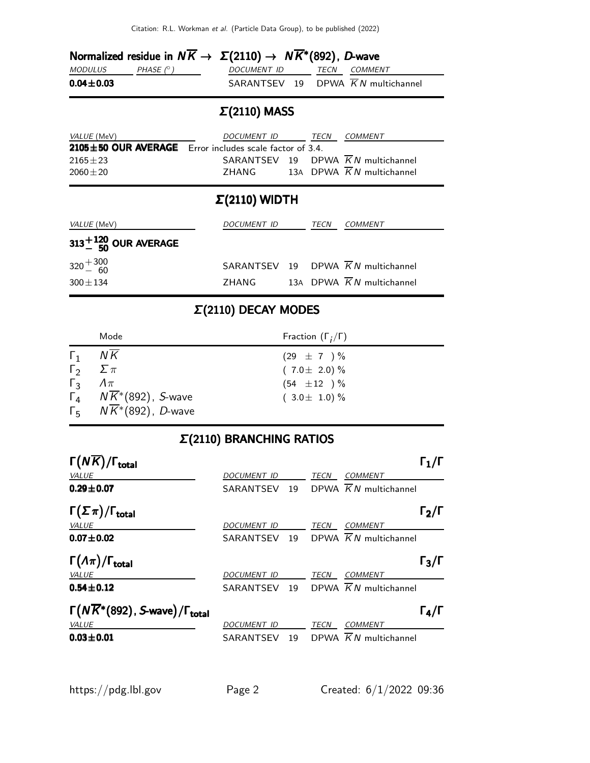|                 |            | Normalized residue in $N\overline{K} \to \Sigma(2110) \to N\overline{K}^*(892)$ , D-wave |  |
|-----------------|------------|------------------------------------------------------------------------------------------|--|
| <i>MODULUS</i>  | PHASE (° ) | DOCUMENT ID TECN COMMENT                                                                 |  |
| $0.04 \pm 0.03$ |            | SARANTSEV 19 DPWA KN multichannel                                                        |  |

# Σ(2110) MASS

| <i>VALUE</i> (MeV) | DOCUMENT ID                                                   |  | <i>TFCN</i> | COMMENT                           |  |
|--------------------|---------------------------------------------------------------|--|-------------|-----------------------------------|--|
|                    | $2105 \pm 50$ OUR AVERAGE Error includes scale factor of 3.4. |  |             |                                   |  |
| $2165 \pm 23$      |                                                               |  |             | SARANTSEV 19 DPWA KN multichannel |  |
| $2060 + 20$        | 7HANG                                                         |  |             | 13A DPWA KN multichannel          |  |

#### Σ(2110) WIDTH

| <i>VALUE</i> (MeV)             | DOCUMENT ID |  | TECN | <i>COMMENT</i>                                 |
|--------------------------------|-------------|--|------|------------------------------------------------|
| $313^{+120}_{-50}$ OUR AVERAGE |             |  |      |                                                |
| $320 + \frac{300}{60}$         |             |  |      | SARANTSEV 19 DPWA $\overline{K}N$ multichannel |
| $300 + 134$                    | 7HANG       |  |      | 13A DPWA K N multichannel                      |

## Σ(2110) DECAY MODES

|                             | Mode                                                          | Fraction $(\Gamma_i/\Gamma)$ |
|-----------------------------|---------------------------------------------------------------|------------------------------|
| $\Gamma_1$                  | ΝK                                                            | $(29 \pm 7) \%$              |
| $\Gamma_2 \quad \Sigma \pi$ |                                                               | $(7.0 \pm 2.0)\%$            |
| $\Gamma_3$ $\Lambda \pi$    |                                                               | $(54 \pm 12)^{\frac{1}{2}}$  |
|                             | $\Gamma_4$ $N\overline{K}$ <sup>*</sup> (892), <i>S</i> -wave | $(3.0 \pm 1.0)\%$            |
|                             | $\Gamma_5$ $N\overline{K}$ <sup>*</sup> (892), <i>D</i> -wave |                              |

## Σ(2110) BRANCHING RATIOS

| $\Gamma(N\overline{K})/\Gamma_{\rm total}$                        |                    |    |      |                                   | $\mathsf{\Gamma}_1/\mathsf{\Gamma}$ |
|-------------------------------------------------------------------|--------------------|----|------|-----------------------------------|-------------------------------------|
| <b>VALUE</b>                                                      | DOCUMENT ID        |    | TECN | <b>COMMENT</b>                    |                                     |
| $0.29 \pm 0.07$                                                   | SARANTSEV          | 19 |      | DPWA $\overline{K}N$ multichannel |                                     |
| $\Gamma(\Sigma \pi)/\Gamma_{\rm total}$                           |                    |    |      |                                   | $\Gamma_2/\Gamma$                   |
| <b>VALUE</b>                                                      | DOCUMENT ID        |    | TECN | <b>COMMENT</b>                    |                                     |
| $0.07 \pm 0.02$                                                   | SARANTSEV          | 19 |      | DPWA $\overline{K}N$ multichannel |                                     |
| $\Gamma(\Lambda \pi)/\Gamma_{\rm total}$                          |                    |    |      |                                   | $\Gamma_3/\Gamma$                   |
| <b>VALUE</b>                                                      | <b>DOCUMENT ID</b> |    | TECN | <b>COMMENT</b>                    |                                     |
| $0.54 \pm 0.12$                                                   | SARANTSEV          | 19 |      | DPWA $\overline{K}N$ multichannel |                                     |
| $\Gamma(N\overline{K}^*(892))$ , S-wave)/ $\Gamma_{\text{total}}$ |                    |    |      |                                   | $\Gamma_4/\Gamma$                   |
| VALUE                                                             | DOCUMENT ID        |    | TECN | <b>COMMENT</b>                    |                                     |
| $0.03 \pm 0.01$                                                   | SARANTSEV          | 19 |      | DPWA $\overline{K}N$ multichannel |                                     |